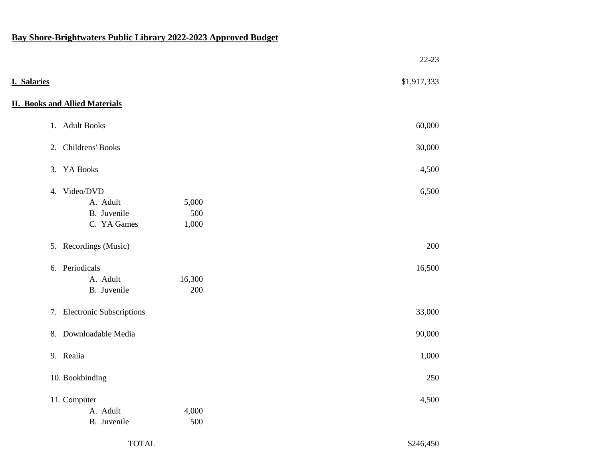## **Bay Shore-Brightwaters Public Library 2022-2023 Approved Budget**

|             |                                       |        | $22-23$     |
|-------------|---------------------------------------|--------|-------------|
| I. Salaries |                                       |        | \$1,917,333 |
|             | <b>II. Books and Allied Materials</b> |        |             |
|             | 1. Adult Books                        |        | 60,000      |
|             | 2. Childrens' Books                   |        | 30,000      |
|             | 3. YA Books                           |        | 4,500       |
|             | 4. Video/DVD                          |        | 6,500       |
|             | A. Adult                              | 5,000  |             |
|             | B. Juvenile                           | 500    |             |
|             | C. YA Games                           | 1,000  |             |
|             | 5. Recordings (Music)                 |        | 200         |
|             | 6. Periodicals                        |        | 16,500      |
|             | A. Adult                              | 16,300 |             |
|             | B. Juvenile                           | 200    |             |
|             | 7. Electronic Subscriptions           |        | 33,000      |
|             | 8. Downloadable Media                 |        | 90,000      |
|             | 9. Realia                             |        | 1,000       |
|             | 10. Bookbinding                       |        | 250         |
|             | 11. Computer                          |        | 4,500       |
|             | A. Adult                              | 4,000  |             |
|             | B. Juvenile                           | 500    |             |

## TOTAL \$246,450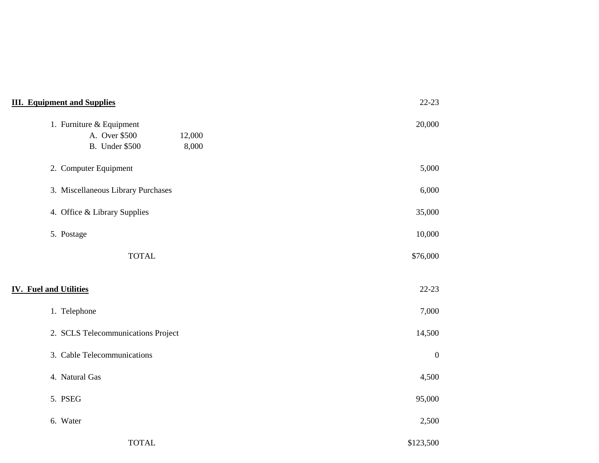| <b>III. Equipment and Supplies</b>                                                    | $22 - 23$        |
|---------------------------------------------------------------------------------------|------------------|
| 1. Furniture & Equipment<br>A. Over \$500<br>12,000<br><b>B.</b> Under \$500<br>8,000 | 20,000           |
| 2. Computer Equipment                                                                 | 5,000            |
| 3. Miscellaneous Library Purchases                                                    | 6,000            |
| 4. Office & Library Supplies                                                          | 35,000           |
| 5. Postage                                                                            | 10,000           |
| <b>TOTAL</b>                                                                          | \$76,000         |
| <b>IV. Fuel and Utilities</b>                                                         | $22-23$          |
| 1. Telephone                                                                          | 7,000            |
| 2. SCLS Telecommunications Project                                                    | 14,500           |
| 3. Cable Telecommunications                                                           | $\boldsymbol{0}$ |
| 4. Natural Gas                                                                        | 4,500            |
| 5. PSEG                                                                               | 95,000           |
| 6. Water                                                                              | 2,500            |
| <b>TOTAL</b>                                                                          | \$123,500        |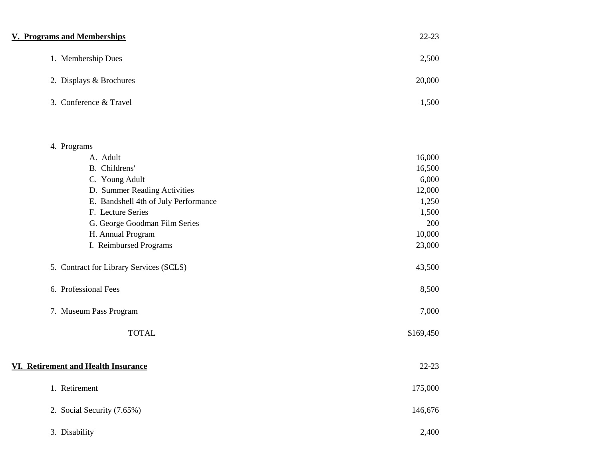| <b>V. Programs and Memberships</b>      | $22 - 23$ |
|-----------------------------------------|-----------|
| 1. Membership Dues                      | 2,500     |
| 2. Displays & Brochures                 | 20,000    |
| 3. Conference & Travel                  | 1,500     |
| 4. Programs                             |           |
| A. Adult                                | 16,000    |
| B. Childrens'                           | 16,500    |
| C. Young Adult                          | 6,000     |
| D. Summer Reading Activities            | 12,000    |
| E. Bandshell 4th of July Performance    | 1,250     |
| F. Lecture Series                       | 1,500     |
| G. George Goodman Film Series           | 200       |
| H. Annual Program                       | 10,000    |
| I. Reimbursed Programs                  | 23,000    |
| 5. Contract for Library Services (SCLS) | 43,500    |
| 6. Professional Fees                    | 8,500     |
| 7. Museum Pass Program                  | 7,000     |
| <b>TOTAL</b>                            | \$169,450 |
| VI. Retirement and Health Insurance     | $22-23$   |
| 1. Retirement                           | 175,000   |
| 2. Social Security (7.65%)              | 146,676   |
| 3. Disability                           | 2,400     |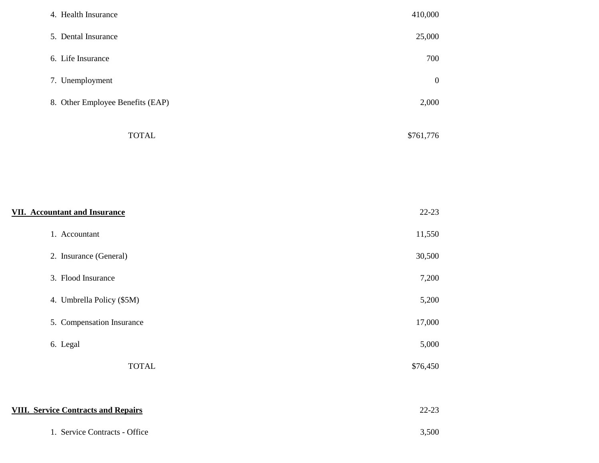| 4. Health Insurance              | 410,000        |
|----------------------------------|----------------|
| 5. Dental Insurance              | 25,000         |
| 6. Life Insurance                | 700            |
| 7. Unemployment                  | $\overline{0}$ |
| 8. Other Employee Benefits (EAP) | 2,000          |
| <b>TOTAL</b>                     | \$761,776      |

| <b>VII. Accountant and Insurance</b>       | $22 - 23$ |
|--------------------------------------------|-----------|
| 1. Accountant                              | 11,550    |
| 2. Insurance (General)                     | 30,500    |
| 3. Flood Insurance                         | 7,200     |
| 4. Umbrella Policy (\$5M)                  | 5,200     |
| 5. Compensation Insurance                  | 17,000    |
| 6. Legal                                   | 5,000     |
| <b>TOTAL</b>                               | \$76,450  |
|                                            |           |
| <b>VIII. Service Contracts and Repairs</b> | $22 - 23$ |
| 1. Service Contracts - Office              | 3,500     |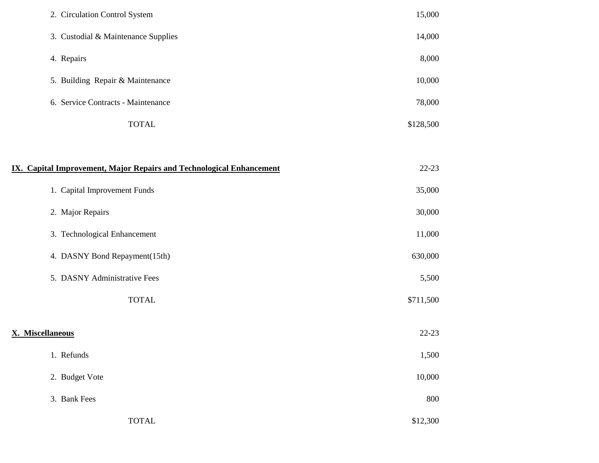| 2. Circulation Control System                                               | 15,000    |  |
|-----------------------------------------------------------------------------|-----------|--|
| 3. Custodial & Maintenance Supplies                                         | 14,000    |  |
| 4. Repairs                                                                  | 8,000     |  |
| 5. Building Repair & Maintenance                                            | 10,000    |  |
| 6. Service Contracts - Maintenance                                          | 78,000    |  |
| <b>TOTAL</b>                                                                | \$128,500 |  |
|                                                                             |           |  |
| <b>IX. Capital Improvement, Major Repairs and Technological Enhancement</b> | $22 - 23$ |  |
| 1. Capital Improvement Funds                                                | 35,000    |  |
| 2. Major Repairs                                                            | 30,000    |  |
| 3. Technological Enhancement                                                | 11,000    |  |
| 4. DASNY Bond Repayment(15th)                                               | 630,000   |  |
| 5. DASNY Administrative Fees                                                | 5,500     |  |
| <b>TOTAL</b>                                                                | \$711,500 |  |
|                                                                             |           |  |
| X. Miscellaneous                                                            | $22 - 23$ |  |
| 1. Refunds                                                                  | 1,500     |  |
| 2. Budget Vote                                                              | 10,000    |  |
| 3. Bank Fees                                                                | 800       |  |
| <b>TOTAL</b>                                                                | \$12,300  |  |